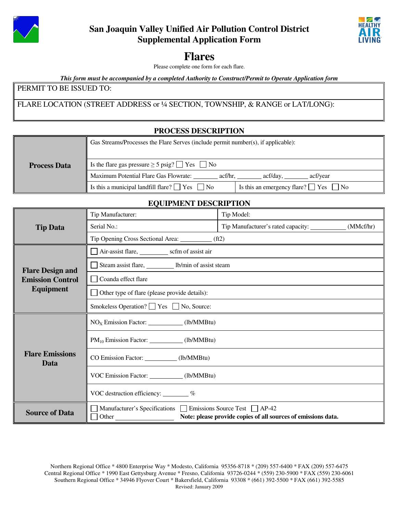

# **San Joaquin Valley Unified Air Pollution Control District Supplemental Application Form**



# **Flares**

Please complete one form for each flare.

*This form must be accompanied by a completed Authority to Construct/Permit to Operate Application form*

#### PERMIT TO BE ISSUED TO:

FLARE LOCATION (STREET ADDRESS or ¼ SECTION, TOWNSHIP, & RANGE or LAT/LONG):

## **PROCESS DESCRIPTION**

|                     | Gas Streams/Processes the Flare Serves (include permit number(s), if applicable):                            |  |  |
|---------------------|--------------------------------------------------------------------------------------------------------------|--|--|
| <b>Process Data</b> | Is the flare gas pressure $\geq 5$ psig? $\Box$ Yes $\Box$ No                                                |  |  |
|                     | Maximum Potential Flare Gas Flowrate:<br>acf/hr.<br>acf/vear<br>act/day.                                     |  |  |
|                     | Is this a municipal landfill flare? $\Box$ Yes $\Box$ No<br>Is this an emergency flare? $\Box$ Yes $\Box$ No |  |  |

#### **EQUIPMENT DESCRIPTION**

| <b>Tip Data</b>                                    | LY CH MERT DESCRIPTION<br>Tip Manufacturer:                        | Tip Model:                                                    |  |  |
|----------------------------------------------------|--------------------------------------------------------------------|---------------------------------------------------------------|--|--|
|                                                    | Serial No.:                                                        | Tip Manufacturer's rated capacity: ______________ (MMcf/hr)   |  |  |
|                                                    | Tip Opening Cross Sectional Area: ___________ (ft2)                |                                                               |  |  |
| <b>Flare Design and</b><br><b>Emission Control</b> | Air-assist flare, scfm of assist air                               |                                                               |  |  |
|                                                    | Steam assist flare, b/min of assist steam                          |                                                               |  |  |
|                                                    | Coanda effect flare                                                |                                                               |  |  |
| <b>Equipment</b>                                   | Other type of flare (please provide details):                      |                                                               |  |  |
|                                                    | Smokeless Operation? ■ Yes ■ No, Source:                           |                                                               |  |  |
|                                                    | $NOx$ Emission Factor: ____________(lb/MMBtu)                      |                                                               |  |  |
| <b>Flare Emissions</b><br>Data                     | $PM_{10}$ Emission Factor: (1b/MMBtu)                              |                                                               |  |  |
|                                                    | CO Emission Factor: (lb/MMBtu)                                     |                                                               |  |  |
|                                                    | VOC Emission Factor: (lb/MMBtu)                                    |                                                               |  |  |
|                                                    | VOC destruction efficiency: $\frac{\%}{\%}$                        |                                                               |  |  |
| <b>Source of Data</b>                              | Manufacturer's Specifications Emissions Source Test AP-42<br>Other | Note: please provide copies of all sources of emissions data. |  |  |